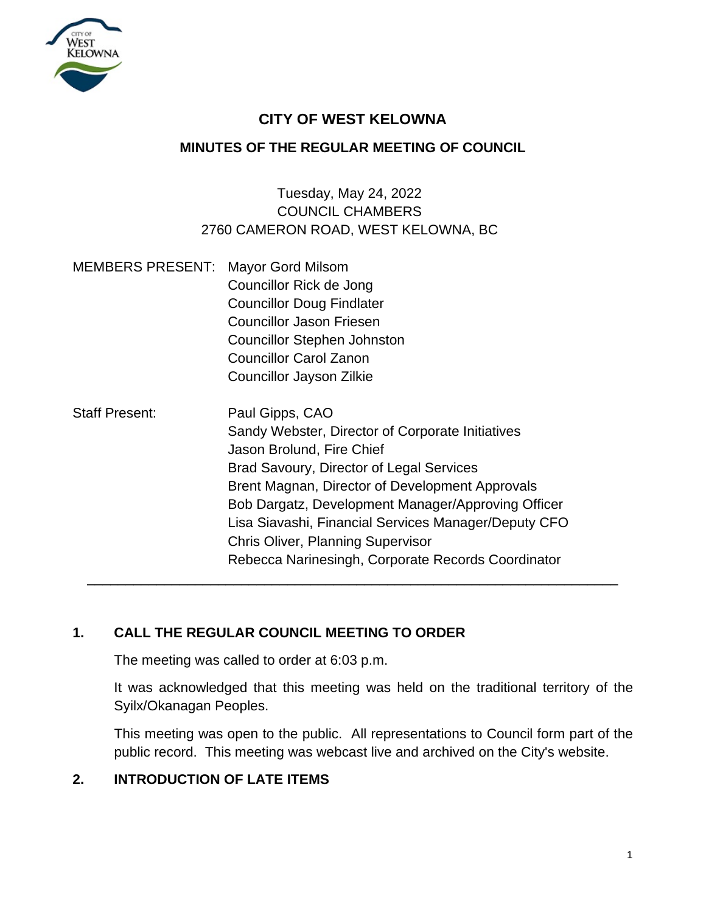

# **CITY OF WEST KELOWNA**

## **MINUTES OF THE REGULAR MEETING OF COUNCIL**

# Tuesday, May 24, 2022 COUNCIL CHAMBERS 2760 CAMERON ROAD, WEST KELOWNA, BC

| <b>MEMBERS PRESENT: Mayor Gord Milsom</b> |                                                      |
|-------------------------------------------|------------------------------------------------------|
|                                           | Councillor Rick de Jong                              |
|                                           | <b>Councillor Doug Findlater</b>                     |
|                                           | <b>Councillor Jason Friesen</b>                      |
|                                           | <b>Councillor Stephen Johnston</b>                   |
|                                           | <b>Councillor Carol Zanon</b>                        |
|                                           | Councillor Jayson Zilkie                             |
| <b>Staff Present:</b>                     | Paul Gipps, CAO                                      |
|                                           | Sandy Webster, Director of Corporate Initiatives     |
|                                           | Jason Brolund, Fire Chief                            |
|                                           | <b>Brad Savoury, Director of Legal Services</b>      |
|                                           | Brent Magnan, Director of Development Approvals      |
|                                           | Bob Dargatz, Development Manager/Approving Officer   |
|                                           | Lisa Siavashi, Financial Services Manager/Deputy CFO |
|                                           | <b>Chris Oliver, Planning Supervisor</b>             |
|                                           | Rebecca Narinesingh, Corporate Records Coordinator   |
|                                           |                                                      |

# **1. CALL THE REGULAR COUNCIL MEETING TO ORDER**

The meeting was called to order at 6:03 p.m.

It was acknowledged that this meeting was held on the traditional territory of the Syilx/Okanagan Peoples.

This meeting was open to the public. All representations to Council form part of the public record. This meeting was webcast live and archived on the City's website.

## **2. INTRODUCTION OF LATE ITEMS**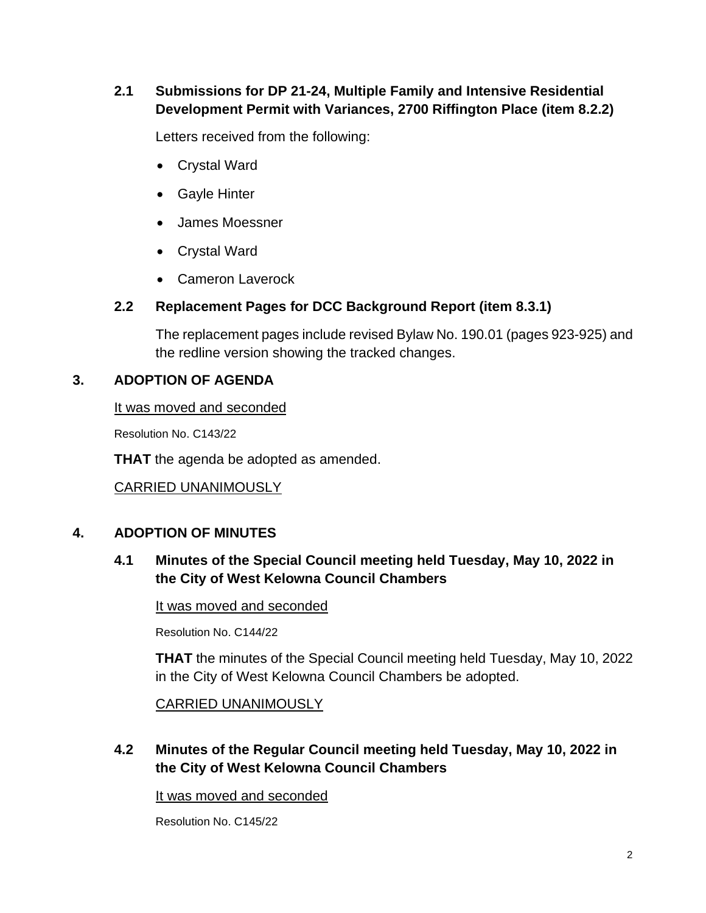## **2.1 Submissions for DP 21-24, Multiple Family and Intensive Residential Development Permit with Variances, 2700 Riffington Place (item 8.2.2)**

Letters received from the following:

- Crystal Ward
- Gayle Hinter
- James Moessner
- Crystal Ward
- Cameron Laverock

## **2.2 Replacement Pages for DCC Background Report (item 8.3.1)**

The replacement pages include revised Bylaw No. 190.01 (pages 923-925) and the redline version showing the tracked changes.

# **3. ADOPTION OF AGENDA**

It was moved and seconded

Resolution No. C143/22

**THAT** the agenda be adopted as amended.

CARRIED UNANIMOUSLY

# **4. ADOPTION OF MINUTES**

# **4.1 Minutes of the Special Council meeting held Tuesday, May 10, 2022 in the City of West Kelowna Council Chambers**

It was moved and seconded

Resolution No. C144/22

**THAT** the minutes of the Special Council meeting held Tuesday, May 10, 2022 in the City of West Kelowna Council Chambers be adopted.

CARRIED UNANIMOUSLY

# **4.2 Minutes of the Regular Council meeting held Tuesday, May 10, 2022 in the City of West Kelowna Council Chambers**

It was moved and seconded

Resolution No. C145/22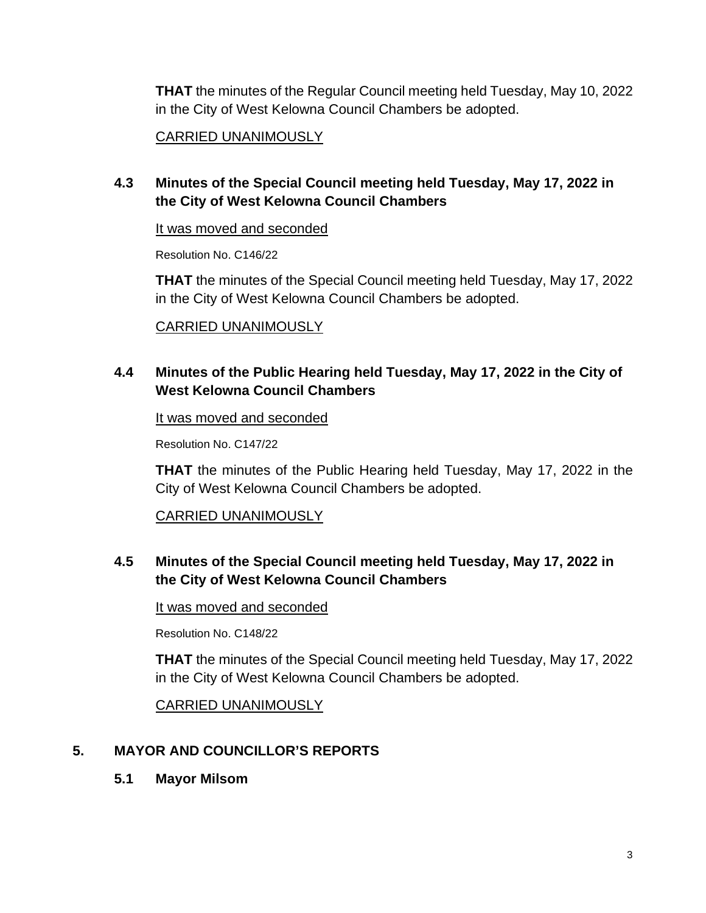**THAT** the minutes of the Regular Council meeting held Tuesday, May 10, 2022 in the City of West Kelowna Council Chambers be adopted.

#### CARRIED UNANIMOUSLY

## **4.3 Minutes of the Special Council meeting held Tuesday, May 17, 2022 in the City of West Kelowna Council Chambers**

#### It was moved and seconded

Resolution No. C146/22

**THAT** the minutes of the Special Council meeting held Tuesday, May 17, 2022 in the City of West Kelowna Council Chambers be adopted.

#### CARRIED UNANIMOUSLY

## **4.4 Minutes of the Public Hearing held Tuesday, May 17, 2022 in the City of West Kelowna Council Chambers**

It was moved and seconded

Resolution No. C147/22

**THAT** the minutes of the Public Hearing held Tuesday, May 17, 2022 in the City of West Kelowna Council Chambers be adopted.

## CARRIED UNANIMOUSLY

## **4.5 Minutes of the Special Council meeting held Tuesday, May 17, 2022 in the City of West Kelowna Council Chambers**

It was moved and seconded

Resolution No. C148/22

**THAT** the minutes of the Special Council meeting held Tuesday, May 17, 2022 in the City of West Kelowna Council Chambers be adopted.

CARRIED UNANIMOUSLY

## **5. MAYOR AND COUNCILLOR'S REPORTS**

**5.1 Mayor Milsom**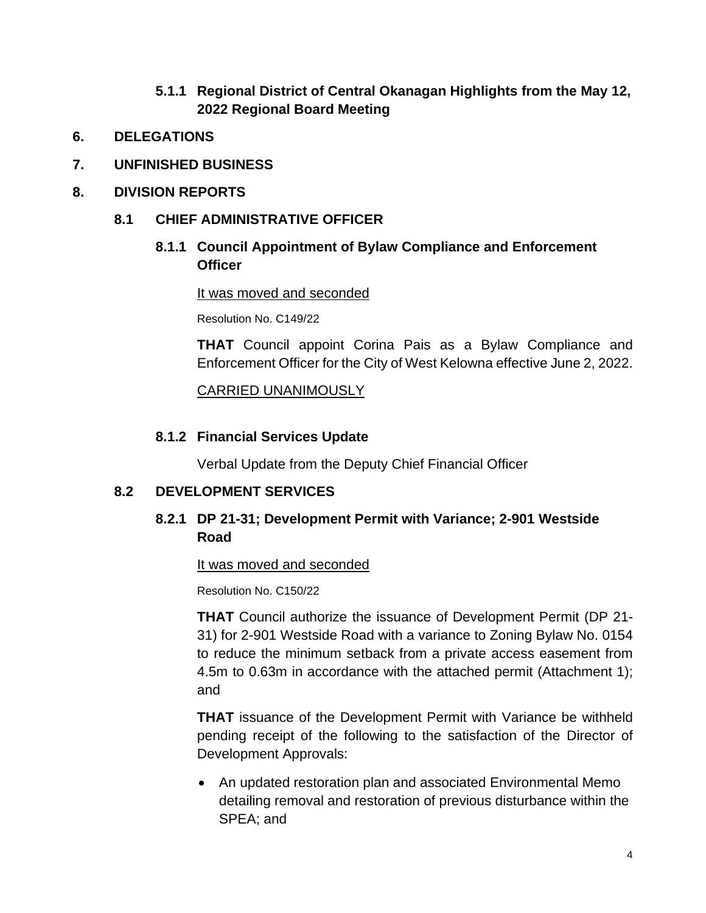- **5.1.1 Regional District of Central Okanagan Highlights from the May 12, 2022 Regional Board Meeting**
- **6. DELEGATIONS**
- **7. UNFINISHED BUSINESS**
- **8. DIVISION REPORTS**
	- **8.1 CHIEF ADMINISTRATIVE OFFICER**
		- **8.1.1 Council Appointment of Bylaw Compliance and Enforcement Officer**

#### It was moved and seconded

Resolution No. C149/22

**THAT** Council appoint Corina Pais as a Bylaw Compliance and Enforcement Officer for the City of West Kelowna effective June 2, 2022.

CARRIED UNANIMOUSLY

## **8.1.2 Financial Services Update**

Verbal Update from the Deputy Chief Financial Officer

## **8.2 DEVELOPMENT SERVICES**

## **8.2.1 DP 21-31; Development Permit with Variance; 2-901 Westside Road**

#### It was moved and seconded

Resolution No. C150/22

**THAT** Council authorize the issuance of Development Permit (DP 21- 31) for 2-901 Westside Road with a variance to Zoning Bylaw No. 0154 to reduce the minimum setback from a private access easement from 4.5m to 0.63m in accordance with the attached permit (Attachment 1); and

**THAT** issuance of the Development Permit with Variance be withheld pending receipt of the following to the satisfaction of the Director of Development Approvals:

• An updated restoration plan and associated Environmental Memo detailing removal and restoration of previous disturbance within the SPEA; and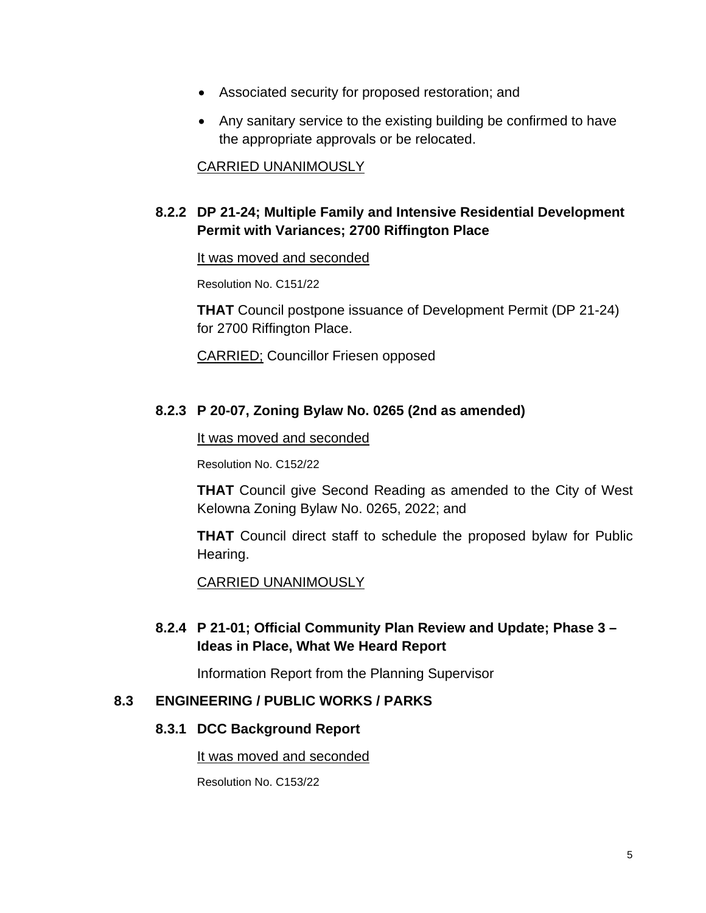- Associated security for proposed restoration; and
- Any sanitary service to the existing building be confirmed to have the appropriate approvals or be relocated.

#### CARRIED UNANIMOUSLY

## **8.2.2 DP 21-24; Multiple Family and Intensive Residential Development Permit with Variances; 2700 Riffington Place**

#### It was moved and seconded

Resolution No. C151/22

**THAT** Council postpone issuance of Development Permit (DP 21-24) for 2700 Riffington Place.

CARRIED; Councillor Friesen opposed

#### **8.2.3 P 20-07, Zoning Bylaw No. 0265 (2nd as amended)**

It was moved and seconded

Resolution No. C152/22

**THAT** Council give Second Reading as amended to the City of West Kelowna Zoning Bylaw No. 0265, 2022; and

**THAT** Council direct staff to schedule the proposed bylaw for Public Hearing.

CARRIED UNANIMOUSLY

## **8.2.4 P 21-01; Official Community Plan Review and Update; Phase 3 – Ideas in Place, What We Heard Report**

Information Report from the Planning Supervisor

#### **8.3 ENGINEERING / PUBLIC WORKS / PARKS**

#### **8.3.1 DCC Background Report**

#### It was moved and seconded

Resolution No. C153/22